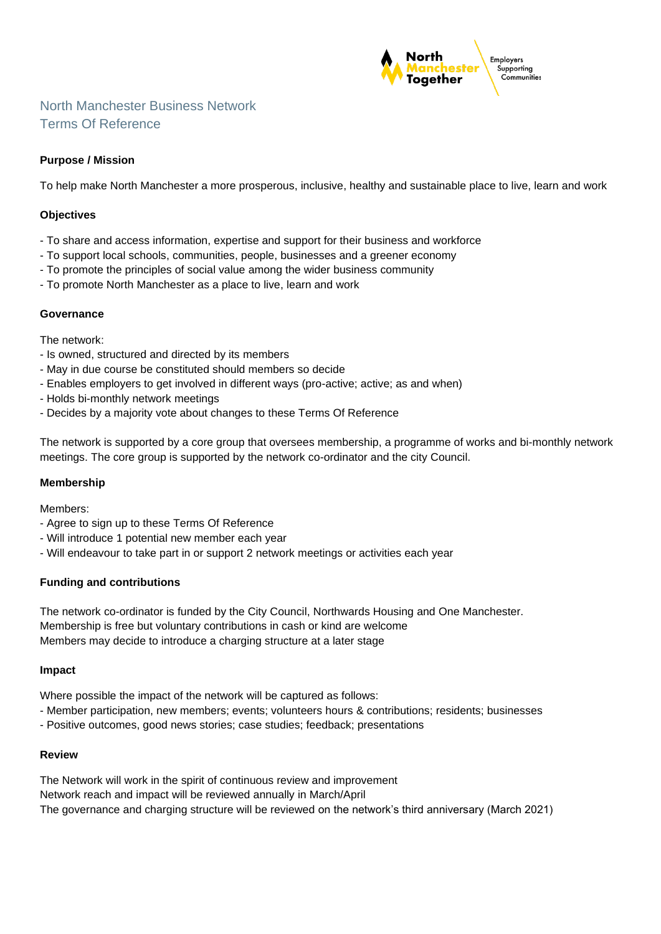

# North Manchester Business Network Terms Of Reference

## **Purpose / Mission**

To help make North Manchester a more prosperous, inclusive, healthy and sustainable place to live, learn and work

### **Objectives**

- To share and access information, expertise and support for their business and workforce
- To support local schools, communities, people, businesses and a greener economy
- To promote the principles of social value among the wider business community
- To promote North Manchester as a place to live, learn and work

## **Governance**

The network:

- Is owned, structured and directed by its members
- May in due course be constituted should members so decide
- Enables employers to get involved in different ways (pro-active; active; as and when)
- Holds bi-monthly network meetings
- Decides by a majority vote about changes to these Terms Of Reference

The network is supported by a core group that oversees membership, a programme of works and bi-monthly network meetings. The core group is supported by the network co-ordinator and the city Council.

#### **Membership**

Members:

- Agree to sign up to these Terms Of Reference
- Will introduce 1 potential new member each year
- Will endeavour to take part in or support 2 network meetings or activities each year

## **Funding and contributions**

The network co-ordinator is funded by the City Council, Northwards Housing and One Manchester. Membership is free but voluntary contributions in cash or kind are welcome Members may decide to introduce a charging structure at a later stage

#### **Impact**

Where possible the impact of the network will be captured as follows:

- Member participation, new members; events; volunteers hours & contributions; residents; businesses
- Positive outcomes, good news stories; case studies; feedback; presentations

#### **Review**

The Network will work in the spirit of continuous review and improvement Network reach and impact will be reviewed annually in March/April The governance and charging structure will be reviewed on the network's third anniversary (March 2021)